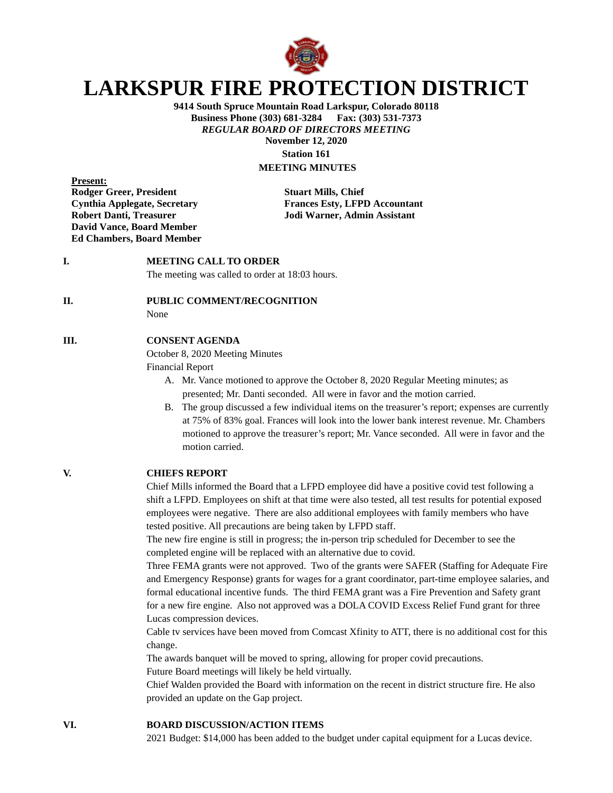

# **LARKSPUR FIRE PROTECTION DISTRICT**

**9414 South Spruce Mountain Road Larkspur, Colorado 80118 Business Phone (303) 681-3284 Fax: (303) 531-7373** *REGULAR BOARD OF DIRECTORS MEETING* **November 12, 2020 Station 161**

# **MEETING MINUTES**

**Present: Rodger Greer, President Stuart Mills, Chief David Vance, Board Member Ed Chambers, Board Member**

**Cynthia Applegate, Secretary Frances Esty, LFPD Accountant Robert Danti, Treasurer Jodi Warner, Admin Assistant**

## **I. MEETING CALL TO ORDER**

The meeting was called to order at 18:03 hours.

#### **II. PUBLIC COMMENT/RECOGNITION**

None

#### **III. CONSENT AGENDA**

October 8, 2020 Meeting Minutes

Financial Report

- A. Mr. Vance motioned to approve the October 8, 2020 Regular Meeting minutes; as presented; Mr. Danti seconded. All were in favor and the motion carried.
- B. The group discussed a few individual items on the treasurer's report; expenses are currently at 75% of 83% goal. Frances will look into the lower bank interest revenue. Mr. Chambers motioned to approve the treasurer's report; Mr. Vance seconded. All were in favor and the motion carried.

#### **V. CHIEFS REPORT**

Chief Mills informed the Board that a LFPD employee did have a positive covid test following a shift a LFPD. Employees on shift at that time were also tested, all test results for potential exposed employees were negative. There are also additional employees with family members who have tested positive. All precautions are being taken by LFPD staff.

The new fire engine is still in progress; the in-person trip scheduled for December to see the completed engine will be replaced with an alternative due to covid.

Three FEMA grants were not approved. Two of the grants were SAFER (Staffing for Adequate Fire and Emergency Response) grants for wages for a grant coordinator, part-time employee salaries, and formal educational incentive funds. The third FEMA grant was a Fire Prevention and Safety grant for a new fire engine. Also not approved was a DOLA COVID Excess Relief Fund grant for three Lucas compression devices.

Cable tv services have been moved from Comcast Xfinity to ATT, there is no additional cost for this change.

The awards banquet will be moved to spring, allowing for proper covid precautions. Future Board meetings will likely be held virtually.

Chief Walden provided the Board with information on the recent in district structure fire. He also provided an update on the Gap project.

#### **VI. BOARD DISCUSSION/ACTION ITEMS**

2021 Budget: \$14,000 has been added to the budget under capital equipment for a Lucas device.